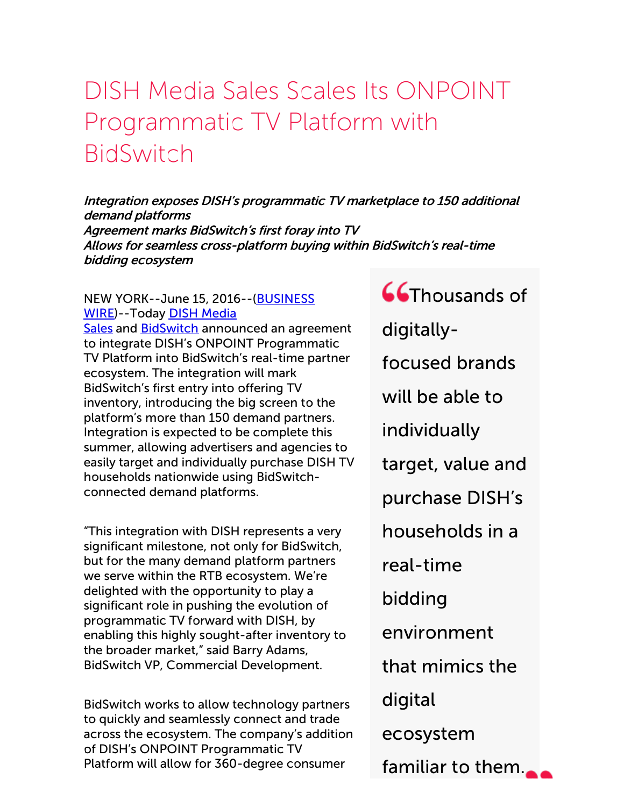## DISH Media Sales Scales Its ONPOINT Programmatic TV Platform with BidSwitch

Integration exposes DISH's programmatic TV marketplace to 150 additional demand platforms Agreement marks BidSwitch's first foray into TV Allows for seamless cross-platform buying within BidSwitch's real-time bidding ecosystem

## NEW YORK--June 15, [2016--\(BUSINESS](http://www.businesswire.com/) [WIRE\)--Today](http://cts.businesswire.com/ct/CT?id=smartlink&url=http%3A%2F%2Fwww.dishmediasales.com%2F&esheet=51362902&newsitemid=20160615005836&lan=en-US&anchor=DISH+Media+Sales&index=1&md5=a807b2b121a5836a27d24edbc24eb975) DISH Media

Sales and [BidSwitch](http://cts.businesswire.com/ct/CT?id=smartlink&url=http%3A%2F%2Fwww.bidswitch.com&esheet=51362902&newsitemid=20160615005836&lan=en-US&anchor=BidSwitch&index=2&md5=4633a3765ea1a239455925c4fa0627b3) announced an agreement to integrate DISH's ONPOINT Programmatic TV Platform into BidSwitch's real-time partner ecosystem. The integration will mark BidSwitch's first entry into offering TV inventory, introducing the big screen to the platform's more than 150 demand partners. Integration is expected to be complete this summer, allowing advertisers and agencies to easily target and individually purchase DISH TV households nationwide using BidSwitchconnected demand platforms.

"This integration with DISH represents a very significant milestone, not only for BidSwitch, but for the many demand platform partners we serve within the RTB ecosystem. We're delighted with the opportunity to play a significant role in pushing the evolution of programmatic TV forward with DISH, by enabling this highly sought-after inventory to the broader market," said Barry Adams, BidSwitch VP, Commercial Development.

BidSwitch works to allow technology partners to quickly and seamlessly connect and trade across the ecosystem. The company's addition of DISH's ONPOINT Programmatic TV Platform will allow for 360-degree consumer

**Co**Thousands of digitallyfocused brands will be able to individually target, value and purchase DISH's households in a real-time bidding environment that mimics the digital ecosystem familiar to them.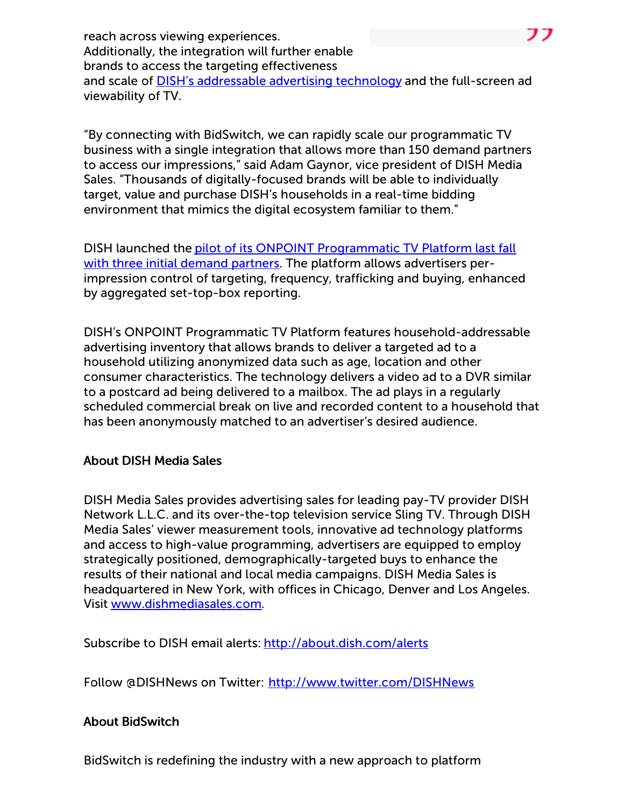reach across viewing experiences. Additionally, the integration will further enable brands to access the targeting effectiveness and scale of **DISH's [addressable](http://cts.businesswire.com/ct/CT?id=smartlink&url=http%3A%2F%2Fabout.dish.com%2Fpress-release%2Fcorporate%2Fgroupm-and-dish-media-sales-announce-groundbreaking-addressable-advertising-&esheet=51362902&newsitemid=20160615005836&lan=en-US&anchor=DISH%27s+addressable+advertising+technology&index=3&md5=5dd2b3c61012e80a2d5692128fb0a73e) advertising technology** and the full-screen ad viewability of TV.

"By connecting with BidSwitch, we can rapidly scale our programmatic TV business with a single integration that allows more than 150 demand partners to access our impressions," said Adam Gaynor, vice president of DISH Media Sales. "Thousands of digitally-focused brands will be able to individually target, value and purchase DISH's households in a real-time bidding environment that mimics the digital ecosystem familiar to them."

DISH launched the pilot of its ONPOINT [Programmatic](http://cts.businesswire.com/ct/CT?id=smartlink&url=http%3A%2F%2Fabout.dish.com%2Fpress-release%2Fproducts-and-services%2Fdish-media-sales-initiates-industrys-first-programmatic-impressi&esheet=51362902&newsitemid=20160615005836&lan=en-US&anchor=pilot+of+its+ONPOINT+Programmatic+TV+Platform+last+fall+with+three+initial+demand+partners&index=4&md5=44b09f61946a1df8c9eb445b996b923c) TV Platform last fall with three initial demand partners. The platform allows advertisers perimpression control of targeting, frequency, trafficking and buying, enhanced by aggregated set-top-box reporting.

DISH's ONPOINT Programmatic TV Platform features household-addressable advertising inventory that allows brands to deliver a targeted ad to a household utilizing anonymized data such as age, location and other consumer characteristics. The technology delivers a video ad to a DVR similar to a postcard ad being delivered to a mailbox. The ad plays in a regularly scheduled commercial break on live and recorded content to a household that has been anonymously matched to an advertiser's desired audience.

## About DISH Media Sales

DISH Media Sales provides advertising sales for leading pay-TV provider DISH Network L.L.C. and its over-the-top television service Sling TV. Through DISH Media Sales' viewer measurement tools, innovative ad technology platforms and access to high-value programming, advertisers are equipped to employ strategically positioned, demographically-targeted buys to enhance the results of their national and local media campaigns. DISH Media Sales is headquartered in New York, with offices in Chicago, Denver and Los Angeles. Visit [www.dishmediasales.com](http://cts.businesswire.com/ct/CT?id=smartlink&url=http%3A%2F%2Fwww.dishmediasales.com%2F&esheet=51362902&newsitemid=20160615005836&lan=en-US&anchor=www.dishmediasales.com&index=5&md5=ef8a90fcfcb489dcdb81a7a0e1a21d87).

Subscribe to DISH email alerts: [http://about.dish.com/alerts](http://cts.businesswire.com/ct/CT?id=smartlink&url=http%3A%2F%2Fabout.dish.com%2Falerts&esheet=51362902&newsitemid=20160615005836&lan=en-US&anchor=http%3A%2F%2Fabout.dish.com%2Falerts&index=6&md5=4ba705a35f8ca9cbe84a40e0e2d5c559)

Follow @DISHNews on Twitter: [http://www.twitter.com/DISHNews](http://cts.businesswire.com/ct/CT?id=smartlink&url=http%3A%2F%2Fwww.twitter.com%2FDISHNews&esheet=51362902&newsitemid=20160615005836&lan=en-US&anchor=http%3A%2F%2Fwww.twitter.com%2FDISHNews&index=7&md5=7962affdfbf41c8db51b6d02bf6102a6)

## About BidSwitch

BidSwitch is redefining the industry with a new approach to platform